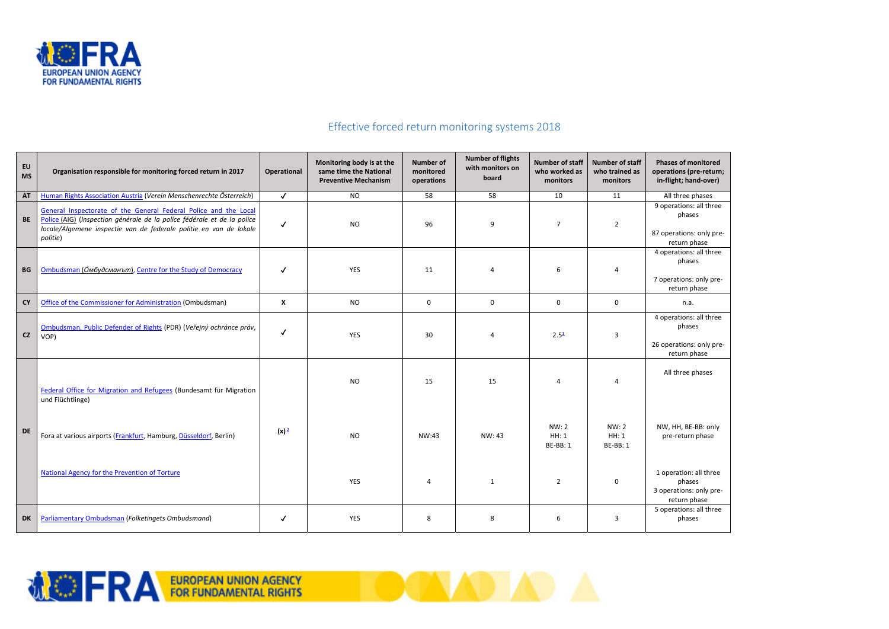

## Effective forced return monitoring systems 2018

**TOONADIAD A** 

| EU<br><b>MS</b>        | Organisation responsible for monitoring forced return in 2017                                                                                                                                                                 | <b>Operational</b> | Monitoring body is at the<br>same time the National<br><b>Preventive Mechanism</b> | <b>Number of</b><br>monitored<br>operations | <b>Number of flights</b><br>with monitors on<br>board | <b>Number of staff</b><br>who worked as<br>monitors | <b>Number of staff</b><br>who trained as<br>monitors | <b>Phases of monitored</b><br>operations (pre-return;<br>in-flight; hand-over) |
|------------------------|-------------------------------------------------------------------------------------------------------------------------------------------------------------------------------------------------------------------------------|--------------------|------------------------------------------------------------------------------------|---------------------------------------------|-------------------------------------------------------|-----------------------------------------------------|------------------------------------------------------|--------------------------------------------------------------------------------|
| <b>AT</b>              | Human Rights Association Austria (Verein Menschenrechte Österreich)                                                                                                                                                           | $\checkmark$       | <b>NO</b>                                                                          | 58                                          | 58                                                    | 10                                                  | 11                                                   | All three phases                                                               |
| BE                     | General Inspectorate of the General Federal Police and the Local<br>Police (AIG) (Inspection générale de la police fédérale et de la police<br>locale/Algemene inspectie van de federale politie en van de lokale<br>politie) | $\checkmark$       | <b>NO</b>                                                                          | 96                                          | 9                                                     | $\overline{7}$                                      | $\overline{2}$                                       | 9 operations: all three<br>phases<br>87 operations: only pre-<br>return phase  |
| $\mathbf{B}\mathbf{G}$ | Ombudsman (Омбудсманът), Centre for the Study of Democracy                                                                                                                                                                    | $\checkmark$       | <b>YES</b>                                                                         | 11                                          | $\overline{4}$                                        | 6                                                   | $\overline{4}$                                       | 4 operations: all three<br>phases<br>7 operations: only pre-<br>return phase   |
| <b>CY</b>              | Office of the Commissioner for Administration (Ombudsman)                                                                                                                                                                     | $\mathsf{X}$       | <b>NO</b>                                                                          | $\mathsf{O}$                                | $\mathbf 0$                                           | $\pmb{0}$                                           | 0                                                    | n.a.                                                                           |
| CZ                     | Ombudsman, Public Defender of Rights (PDR) (Veřejný ochránce práv,<br>VOP)                                                                                                                                                    | $\checkmark$       | <b>YES</b>                                                                         | 30                                          | $\overline{4}$                                        | 2.5 <sup>1</sup>                                    | $\overline{3}$                                       | 4 operations: all three<br>phases<br>26 operations: only pre-<br>return phase  |
|                        | Federal Office for Migration and Refugees (Bundesamt für Migration<br>und Flüchtlinge)                                                                                                                                        |                    | <b>NO</b>                                                                          | 15                                          | 15                                                    | $\overline{4}$                                      | $\overline{4}$                                       | All three phases                                                               |
| <b>DE</b>              | Fora at various airports (Frankfurt, Hamburg, Düsseldorf, Berlin)                                                                                                                                                             | $(x)^2$            | <b>NO</b>                                                                          | NW:43                                       | NW: 43                                                | <b>NW:2</b><br>HH: 1<br><b>BE-BB: 1</b>             | NW: 2<br>HH: 1<br><b>BE-BB: 1</b>                    | NW, HH, BE-BB: only<br>pre-return phase                                        |
|                        | <b>National Agency for the Prevention of Torture</b>                                                                                                                                                                          |                    | YES                                                                                | $\overline{4}$                              | 1                                                     | $\overline{2}$                                      | 0                                                    | 1 operation: all three<br>phases<br>3 operations: only pre-<br>return phase    |
| <b>DK</b>              | <b>Parliamentary Ombudsman (Folketingets Ombudsmand)</b>                                                                                                                                                                      | $\checkmark$       | <b>YES</b>                                                                         | 8                                           | 8                                                     | 6                                                   | 3                                                    | 5 operations: all three<br>phases                                              |

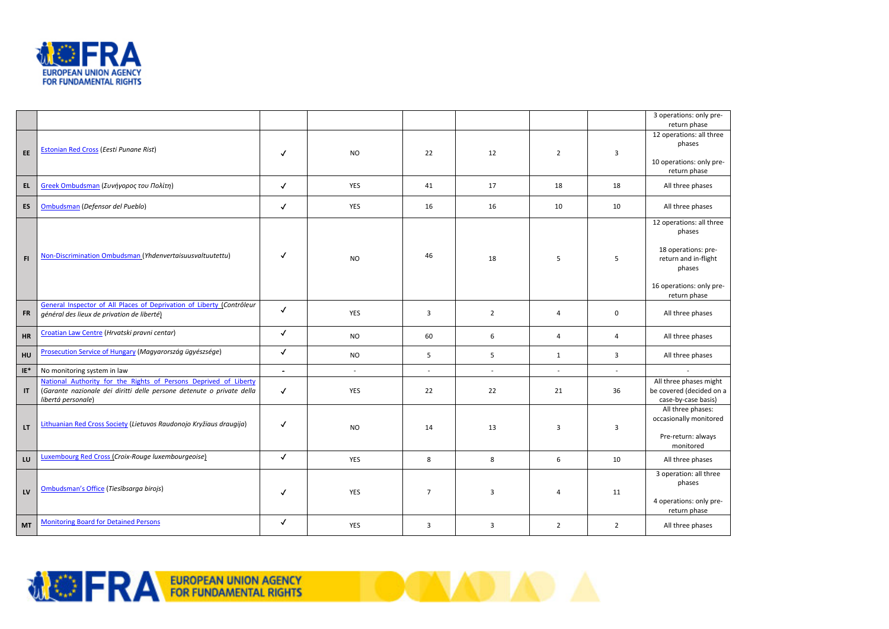

|                 |                                                                                                                                                                 |                |                          |                          |                          |                |                | 3 operations: only pre-<br>return phase                                                                                                 |
|-----------------|-----------------------------------------------------------------------------------------------------------------------------------------------------------------|----------------|--------------------------|--------------------------|--------------------------|----------------|----------------|-----------------------------------------------------------------------------------------------------------------------------------------|
| EE              | <b>Estonian Red Cross (Eesti Punane Rist)</b>                                                                                                                   |                | <b>NO</b>                | 22                       | 12                       | $\overline{2}$ | 3              | 12 operations: all three<br>phases<br>10 operations: only pre-<br>return phase                                                          |
| EL              | Greek Ombudsman (Συνήγορος του Πολίτη)                                                                                                                          | $\checkmark$   | YES                      | 41                       | 17                       | 18             | 18             | All three phases                                                                                                                        |
| ES              | Ombudsman (Defensor del Pueblo)                                                                                                                                 | $\checkmark$   | YES                      | 16                       | 16                       | 10             | 10             | All three phases                                                                                                                        |
| F1              | Non-Discrimination Ombudsman (Yhdenvertaisuusvaltuutettu)                                                                                                       |                | <b>NO</b>                | 46                       | 18                       | 5              | 5              | 12 operations: all three<br>phases<br>18 operations: pre-<br>return and in-flight<br>phases<br>16 operations: only pre-<br>return phase |
| <b>FR</b>       | General Inspector of All Places of Deprivation of Liberty (Contrôleur<br>général des lieux de privation de liberté)                                             | $\checkmark$   | YES                      | 3                        | $\overline{2}$           | 4              | 0              | All three phases                                                                                                                        |
| HR              | Croatian Law Centre (Hrvatski pravni centar)                                                                                                                    | $\checkmark$   | <b>NO</b>                | 60                       | 6                        | 4              | 4              | All three phases                                                                                                                        |
| HU              | Prosecution Service of Hungary (Magyarország ügyészsége)                                                                                                        | $\checkmark$   | <b>NO</b>                | 5                        | 5                        | $\mathbf{1}$   | 3              | All three phases                                                                                                                        |
| $\mathsf{IE}^*$ | No monitoring system in law                                                                                                                                     | $\blacksquare$ | $\overline{\phantom{a}}$ | $\overline{\phantom{a}}$ | $\overline{\phantom{a}}$ | $\sim$         | $\sim$         | $\overline{\phantom{a}}$                                                                                                                |
| $\sf IT$        | National Authority for the Rights of Persons Deprived of Liberty<br>(Garante nazionale dei diritti delle persone detenute o private della<br>libertá personale) | $\checkmark$   | YES                      | 22                       | 22                       | 21             | 36             | All three phases might<br>be covered (decided on a<br>case-by-case basis)                                                               |
| LT.             | Lithuanian Red Cross Society (Lietuvos Raudonojo Kryžiaus draugija)                                                                                             | ✓              | <b>NO</b>                | 14                       | 13                       | 3              | 3              | All three phases:<br>occasionally monitored<br>Pre-return: always<br>monitored                                                          |
| LU              | <b>Luxembourg Red Cross (Croix-Rouge luxembourgeoise)</b>                                                                                                       | $\checkmark$   | YES                      | 8                        | 8                        | 6              | 10             | All three phases                                                                                                                        |
| LV              | Ombudsman's Office (Tiesībsarga birojs)                                                                                                                         | $\checkmark$   | YES                      | $\overline{7}$           | 3                        | $\overline{a}$ | 11             | 3 operation: all three<br>phases<br>4 operations: only pre-<br>return phase                                                             |
| <b>MT</b>       | <b>Monitoring Board for Detained Persons</b>                                                                                                                    | $\checkmark$   | YES                      | $\overline{3}$           | 3                        | $\overline{2}$ | $\overline{2}$ | All three phases                                                                                                                        |

**OON AD AD A** 

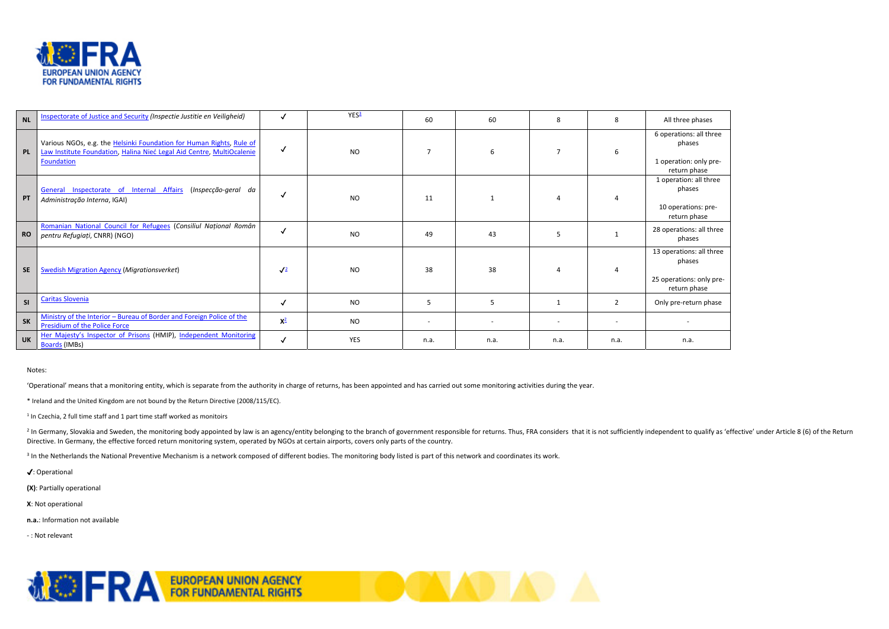

| NL        | <b>Inspectorate of Justice and Security (Inspectie Justitie en Veiligheid)</b>                                                                              |              | YES <sup>3</sup> | 60                       | 60   | 8    | 8              | All three phases                                                               |
|-----------|-------------------------------------------------------------------------------------------------------------------------------------------------------------|--------------|------------------|--------------------------|------|------|----------------|--------------------------------------------------------------------------------|
| PL        | Various NGOs, e.g. the Helsinki Foundation for Human Rights, Rule of<br>Law Institute Foundation, Halina Nieć Legal Aid Centre, MultiOcalenie<br>Foundation | $\checkmark$ | <b>NO</b>        | $\overline{7}$           | 6    |      |                | 6 operations: all three<br>phases<br>1 operation: only pre-<br>return phase    |
| PT        | General Inspectorate of Internal Affairs (Inspecção-geral da<br>Administração Interna, IGAI)                                                                |              | NO.              | 11                       |      |      |                | 1 operation: all three<br>phases<br>10 operations: pre-<br>return phase        |
| <b>RO</b> | Romanian National Council for Refugees (Consiliul Național Român<br>pentru Refugiați, CNRR) (NGO)                                                           | $\checkmark$ | <b>NO</b>        | 49                       | 43   |      |                | 28 operations: all three<br>phases                                             |
| <b>SE</b> | <b>Swedish Migration Agency (Migrationsverket)</b>                                                                                                          | $\sqrt{2}$   | <b>NO</b>        | 38                       | 38   |      |                | 13 operations: all three<br>phases<br>25 operations: only pre-<br>return phase |
| SI        | <b>Caritas Slovenia</b>                                                                                                                                     | √            | <b>NO</b>        | 5                        | 5    |      | $\overline{2}$ | Only pre-return phase                                                          |
| <b>SK</b> | Ministry of the Interior - Bureau of Border and Foreign Police of the<br>Presidium of the Police Force                                                      | $X^2$        | <b>NO</b>        | $\overline{\phantom{a}}$ |      |      |                |                                                                                |
| <b>UK</b> | Her Majesty's Inspector of Prisons (HMIP), Independent Monitoring<br>Boards (IMBs)                                                                          | $\checkmark$ | <b>YES</b>       | n.a.                     | n.a. | n.a. | n.a.           | n.a.                                                                           |

<sup>2</sup> In Germany, Slovakia and Sweden, the monitoring body appointed by law is an agency/entity belonging to the branch of government responsible for returns. Thus, FRA considers that it is not sufficiently independent to qu Directive. In Germany, the effective forced return monitoring system, operated by NGOs at certain airports, covers only parts of the country.

**AD AD** 

**TIME AND STATE** 

<sup>3</sup> In the Netherlands the National Preventive Mechanism is a network composed of different bodies. The monitoring body listed is part of this network and coordinates its work.

## Notes:

'Operational' means that a monitoring entity, which is separate from the authority in charge of returns, has been appointed and has carried out some monitoring activities during the year.

\* Ireland and the United Kingdom are not bound by the Return Directive (2008/115/EC).

 $1$  In Czechia, 2 full time staff and 1 part time staff worked as monitoirs

✔: Operational

**(X)**: Partially operational

**X**: Not operational

**n.a.**: Information not available

‐ : Not relevant